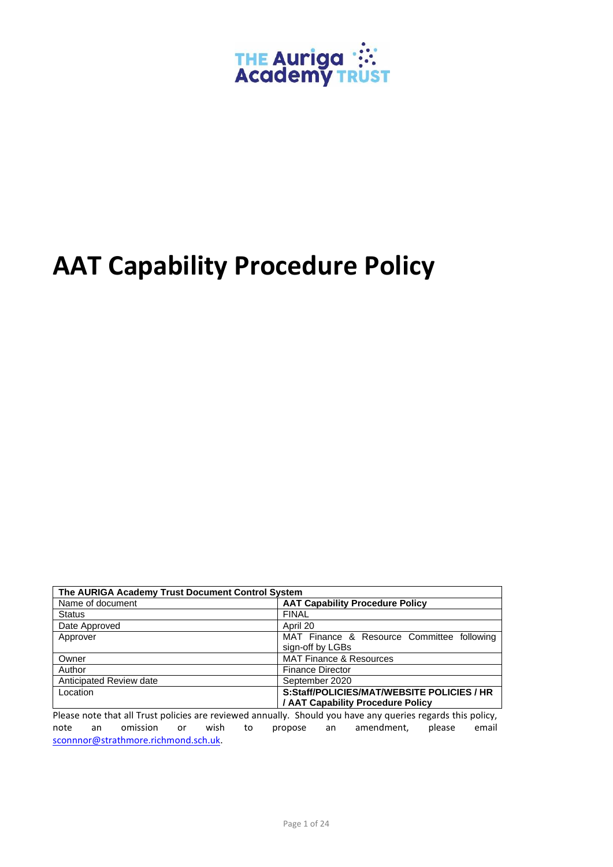

# **AAT Capability Procedure Policy**

| The AURIGA Academy Trust Document Control System |                                            |  |  |  |  |
|--------------------------------------------------|--------------------------------------------|--|--|--|--|
| Name of document                                 | <b>AAT Capability Procedure Policy</b>     |  |  |  |  |
| <b>Status</b>                                    | <b>FINAL</b>                               |  |  |  |  |
| Date Approved                                    | April 20                                   |  |  |  |  |
| Approver                                         | MAT Finance & Resource Committee following |  |  |  |  |
|                                                  | sign-off by LGBs                           |  |  |  |  |
| Owner                                            | <b>MAT Finance &amp; Resources</b>         |  |  |  |  |
| Author                                           | <b>Finance Director</b>                    |  |  |  |  |
| Anticipated Review date                          | September 2020                             |  |  |  |  |
| Location                                         | S:Staff/POLICIES/MAT/WEBSITE POLICIES / HR |  |  |  |  |
|                                                  | / AAT Capability Procedure Policy          |  |  |  |  |

Please note that all Trust policies are reviewed annually. Should you have any queries regards this policy, note an omission or wish to propose an amendment, please email [sconnnor@strathmore.richmond.sch.uk.](mailto:sconnnor@strathmore.richmond.sch.uk)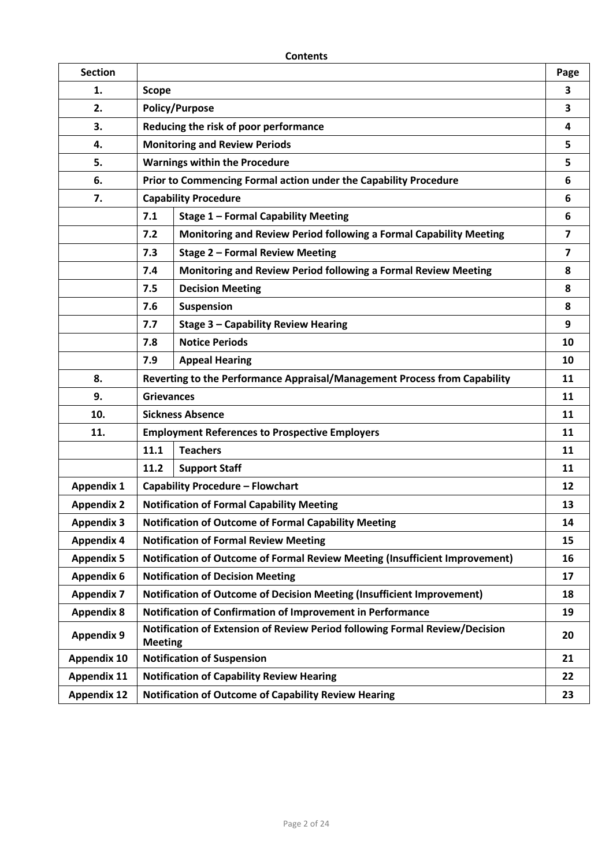| <b>Section</b>     |                                                                                                     |                                                                    | Page           |  |  |  |
|--------------------|-----------------------------------------------------------------------------------------------------|--------------------------------------------------------------------|----------------|--|--|--|
| 1.                 | <b>Scope</b>                                                                                        |                                                                    |                |  |  |  |
| 2.                 |                                                                                                     | <b>Policy/Purpose</b>                                              |                |  |  |  |
| 3.                 |                                                                                                     | Reducing the risk of poor performance                              |                |  |  |  |
| 4.                 |                                                                                                     | <b>Monitoring and Review Periods</b>                               |                |  |  |  |
| 5.                 |                                                                                                     | <b>Warnings within the Procedure</b>                               |                |  |  |  |
| 6.                 |                                                                                                     | Prior to Commencing Formal action under the Capability Procedure   |                |  |  |  |
| 7.                 | <b>Capability Procedure</b>                                                                         |                                                                    |                |  |  |  |
|                    | 7.1<br><b>Stage 1 - Formal Capability Meeting</b>                                                   |                                                                    | 6              |  |  |  |
|                    | 7.2                                                                                                 | Monitoring and Review Period following a Formal Capability Meeting | $\overline{ }$ |  |  |  |
|                    | <b>Stage 2 - Formal Review Meeting</b><br>7.3                                                       |                                                                    |                |  |  |  |
|                    | 7.4                                                                                                 | Monitoring and Review Period following a Formal Review Meeting     | 8              |  |  |  |
|                    | 7.5                                                                                                 | <b>Decision Meeting</b>                                            | 8              |  |  |  |
|                    | 7.6                                                                                                 | <b>Suspension</b>                                                  | 8              |  |  |  |
|                    | 7.7                                                                                                 | <b>Stage 3 - Capability Review Hearing</b>                         | 9              |  |  |  |
|                    | 7.8                                                                                                 | <b>Notice Periods</b>                                              | 10             |  |  |  |
|                    | 7.9                                                                                                 | <b>Appeal Hearing</b>                                              | 10             |  |  |  |
| 8.                 | Reverting to the Performance Appraisal/Management Process from Capability                           |                                                                    |                |  |  |  |
| 9.                 |                                                                                                     | <b>Grievances</b>                                                  |                |  |  |  |
| 10.                | <b>Sickness Absence</b>                                                                             |                                                                    |                |  |  |  |
| 11.                | <b>Employment References to Prospective Employers</b>                                               |                                                                    |                |  |  |  |
|                    | 11.1                                                                                                | <b>Teachers</b>                                                    | 11             |  |  |  |
|                    | 11.2                                                                                                | <b>Support Staff</b>                                               | 11             |  |  |  |
| <b>Appendix 1</b>  | <b>Capability Procedure - Flowchart</b>                                                             |                                                                    |                |  |  |  |
| <b>Appendix 2</b>  |                                                                                                     | <b>Notification of Formal Capability Meeting</b>                   |                |  |  |  |
| <b>Appendix 3</b>  |                                                                                                     | Notification of Outcome of Formal Capability Meeting               |                |  |  |  |
| <b>Appendix 4</b>  | <b>Notification of Formal Review Meeting</b>                                                        |                                                                    |                |  |  |  |
| <b>Appendix 5</b>  | Notification of Outcome of Formal Review Meeting (Insufficient Improvement)                         |                                                                    |                |  |  |  |
| <b>Appendix 6</b>  | <b>Notification of Decision Meeting</b>                                                             |                                                                    |                |  |  |  |
| <b>Appendix 7</b>  | Notification of Outcome of Decision Meeting (Insufficient Improvement)                              |                                                                    |                |  |  |  |
| <b>Appendix 8</b>  | Notification of Confirmation of Improvement in Performance<br>19                                    |                                                                    |                |  |  |  |
| <b>Appendix 9</b>  | Notification of Extension of Review Period following Formal Review/Decision<br>20<br><b>Meeting</b> |                                                                    |                |  |  |  |
| <b>Appendix 10</b> | <b>Notification of Suspension</b><br>21                                                             |                                                                    |                |  |  |  |
| <b>Appendix 11</b> | <b>Notification of Capability Review Hearing</b><br>22                                              |                                                                    |                |  |  |  |
| <b>Appendix 12</b> | <b>Notification of Outcome of Capability Review Hearing</b><br>23                                   |                                                                    |                |  |  |  |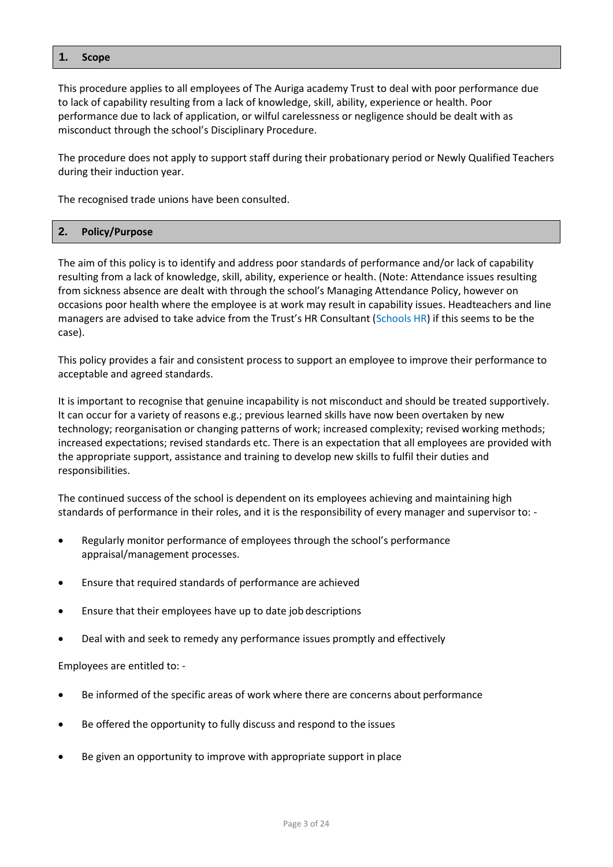#### **1. Scope**

This procedure applies to all employees of The Auriga academy Trust to deal with poor performance due to lack of capability resulting from a lack of knowledge, skill, ability, experience or health. Poor performance due to lack of application, or wilful carelessness or negligence should be dealt with as misconduct through the school's Disciplinary Procedure.

The procedure does not apply to support staff during their probationary period or Newly Qualified Teachers during their induction year.

The recognised trade unions have been consulted.

## **2. Policy/Purpose**

The aim of this policy is to identify and address poor standards of performance and/or lack of capability resulting from a lack of knowledge, skill, ability, experience or health. (Note: Attendance issues resulting from sickness absence are dealt with through the school's Managing Attendance Policy, however on occasions poor health where the employee is at work may result in capability issues. Headteachers and line managers are advised to take advice from the Trust's HR Consultant (Schools HR) if this seems to be the case).

This policy provides a fair and consistent process to support an employee to improve their performance to acceptable and agreed standards.

It is important to recognise that genuine incapability is not misconduct and should be treated supportively. It can occur for a variety of reasons e.g.; previous learned skills have now been overtaken by new technology; reorganisation or changing patterns of work; increased complexity; revised working methods; increased expectations; revised standards etc. There is an expectation that all employees are provided with the appropriate support, assistance and training to develop new skills to fulfil their duties and responsibilities.

The continued success of the school is dependent on its employees achieving and maintaining high standards of performance in their roles, and it is the responsibility of every manager and supervisor to: -

- Regularly monitor performance of employees through the school's performance appraisal/management processes.
- Ensure that required standards of performance are achieved
- Ensure that their employees have up to date job descriptions
- Deal with and seek to remedy any performance issues promptly and effectively

Employees are entitled to: -

- Be informed of the specific areas of work where there are concerns about performance
- Be offered the opportunity to fully discuss and respond to the issues
- Be given an opportunity to improve with appropriate support in place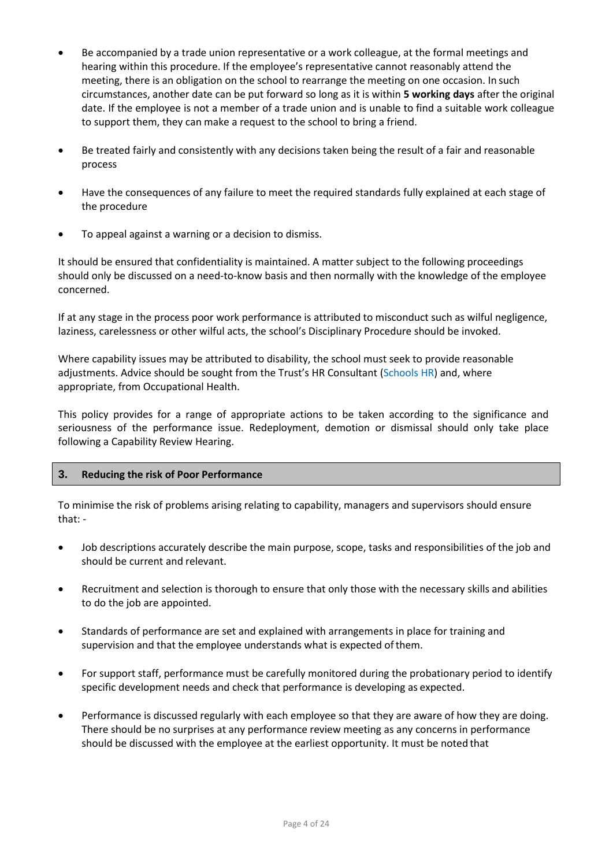- Be accompanied by a trade union representative or a work colleague, at the formal meetings and hearing within this procedure. If the employee's representative cannot reasonably attend the meeting, there is an obligation on the school to rearrange the meeting on one occasion. In such circumstances, another date can be put forward so long as it is within **5 working days** after the original date. If the employee is not a member of a trade union and is unable to find a suitable work colleague to support them, they can make a request to the school to bring a friend.
- Be treated fairly and consistently with any decisions taken being the result of a fair and reasonable process
- Have the consequences of any failure to meet the required standards fully explained at each stage of the procedure
- To appeal against a warning or a decision to dismiss.

It should be ensured that confidentiality is maintained. A matter subject to the following proceedings should only be discussed on a need-to-know basis and then normally with the knowledge of the employee concerned.

If at any stage in the process poor work performance is attributed to misconduct such as wilful negligence, laziness, carelessness or other wilful acts, the school's Disciplinary Procedure should be invoked.

Where capability issues may be attributed to disability, the school must seek to provide reasonable adjustments. Advice should be sought from the Trust's HR Consultant (Schools HR) and, where appropriate, from Occupational Health.

This policy provides for a range of appropriate actions to be taken according to the significance and seriousness of the performance issue. Redeployment, demotion or dismissal should only take place following a Capability Review Hearing.

## **3. Reducing the risk of Poor Performance**

To minimise the risk of problems arising relating to capability, managers and supervisors should ensure that: -

- Job descriptions accurately describe the main purpose, scope, tasks and responsibilities of the job and should be current and relevant.
- Recruitment and selection is thorough to ensure that only those with the necessary skills and abilities to do the job are appointed.
- Standards of performance are set and explained with arrangements in place for training and supervision and that the employee understands what is expected of them.
- For support staff, performance must be carefully monitored during the probationary period to identify specific development needs and check that performance is developing as expected.
- Performance is discussed regularly with each employee so that they are aware of how they are doing. There should be no surprises at any performance review meeting as any concerns in performance should be discussed with the employee at the earliest opportunity. It must be noted that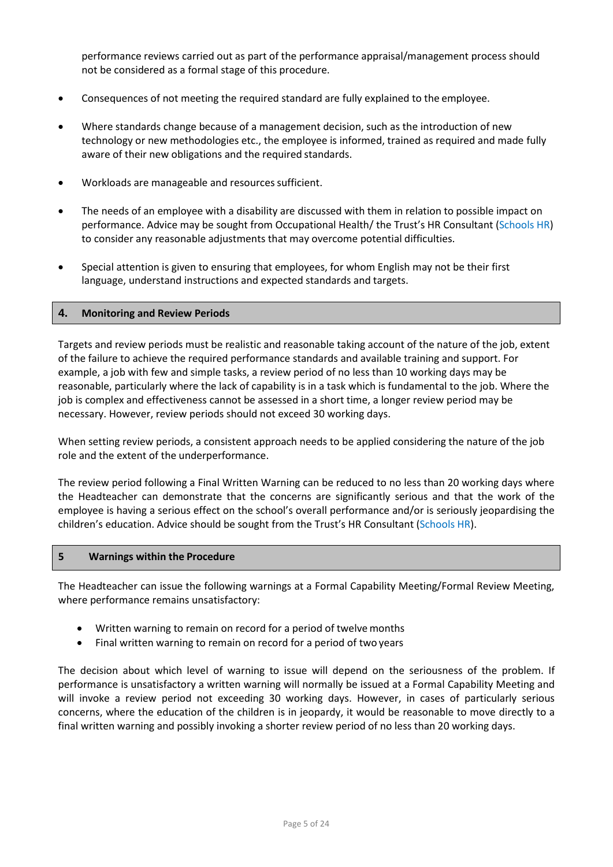performance reviews carried out as part of the performance appraisal/management process should not be considered as a formal stage of this procedure.

- Consequences of not meeting the required standard are fully explained to the employee.
- Where standards change because of a management decision, such as the introduction of new technology or new methodologies etc., the employee is informed, trained as required and made fully aware of their new obligations and the required standards.
- Workloads are manageable and resources sufficient.
- The needs of an employee with a disability are discussed with them in relation to possible impact on performance. Advice may be sought from Occupational Health/ the Trust's HR Consultant (Schools HR) to consider any reasonable adjustments that may overcome potential difficulties.
- Special attention is given to ensuring that employees, for whom English may not be their first language, understand instructions and expected standards and targets.

#### **4. Monitoring and Review Periods**

Targets and review periods must be realistic and reasonable taking account of the nature of the job, extent of the failure to achieve the required performance standards and available training and support. For example, a job with few and simple tasks, a review period of no less than 10 working days may be reasonable, particularly where the lack of capability is in a task which is fundamental to the job. Where the job is complex and effectiveness cannot be assessed in a short time, a longer review period may be necessary. However, review periods should not exceed 30 working days.

When setting review periods, a consistent approach needs to be applied considering the nature of the job role and the extent of the underperformance.

The review period following a Final Written Warning can be reduced to no less than 20 working days where the Headteacher can demonstrate that the concerns are significantly serious and that the work of the employee is having a serious effect on the school's overall performance and/or is seriously jeopardising the children's education. Advice should be sought from the Trust's HR Consultant (Schools HR).

#### **5 Warnings within the Procedure**

The Headteacher can issue the following warnings at a Formal Capability Meeting/Formal Review Meeting, where performance remains unsatisfactory:

- Written warning to remain on record for a period of twelve months
- Final written warning to remain on record for a period of two years

The decision about which level of warning to issue will depend on the seriousness of the problem. If performance is unsatisfactory a written warning will normally be issued at a Formal Capability Meeting and will invoke a review period not exceeding 30 working days. However, in cases of particularly serious concerns, where the education of the children is in jeopardy, it would be reasonable to move directly to a final written warning and possibly invoking a shorter review period of no less than 20 working days.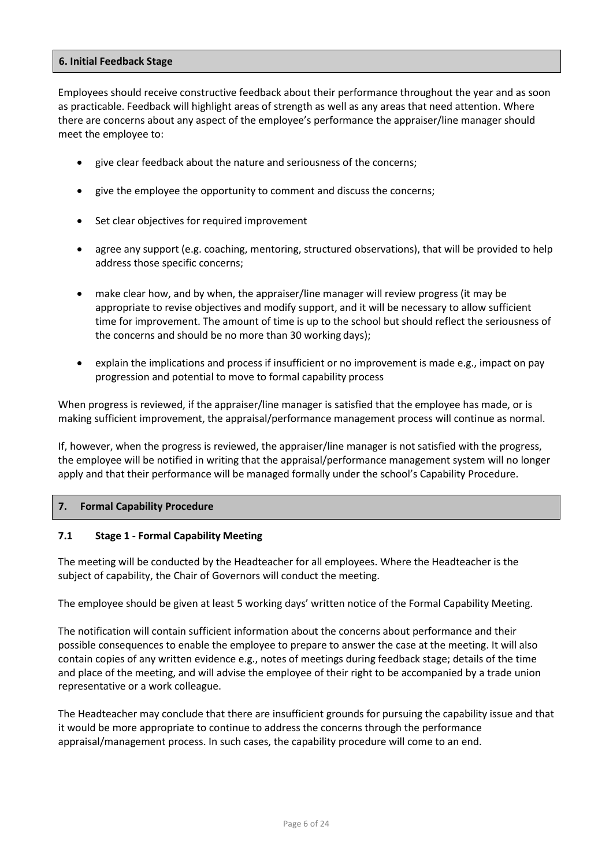#### **6. Initial Feedback Stage**

Employees should receive constructive feedback about their performance throughout the year and as soon as practicable. Feedback will highlight areas of strength as well as any areas that need attention. Where there are concerns about any aspect of the employee's performance the appraiser/line manager should meet the employee to:

- give clear feedback about the nature and seriousness of the concerns;
- give the employee the opportunity to comment and discuss the concerns;
- Set clear objectives for required improvement
- agree any support (e.g. coaching, mentoring, structured observations), that will be provided to help address those specific concerns;
- make clear how, and by when, the appraiser/line manager will review progress (it may be appropriate to revise objectives and modify support, and it will be necessary to allow sufficient time for improvement. The amount of time is up to the school but should reflect the seriousness of the concerns and should be no more than 30 working days);
- explain the implications and process if insufficient or no improvement is made e.g., impact on pay progression and potential to move to formal capability process

When progress is reviewed, if the appraiser/line manager is satisfied that the employee has made, or is making sufficient improvement, the appraisal/performance management process will continue as normal.

If, however, when the progress is reviewed, the appraiser/line manager is not satisfied with the progress, the employee will be notified in writing that the appraisal/performance management system will no longer apply and that their performance will be managed formally under the school's Capability Procedure.

## **7. Formal Capability Procedure**

## **7.1 Stage 1 - Formal Capability Meeting**

The meeting will be conducted by the Headteacher for all employees. Where the Headteacher is the subject of capability, the Chair of Governors will conduct the meeting.

The employee should be given at least 5 working days' written notice of the Formal Capability Meeting.

The notification will contain sufficient information about the concerns about performance and their possible consequences to enable the employee to prepare to answer the case at the meeting. It will also contain copies of any written evidence e.g., notes of meetings during feedback stage; details of the time and place of the meeting, and will advise the employee of their right to be accompanied by a trade union representative or a work colleague.

The Headteacher may conclude that there are insufficient grounds for pursuing the capability issue and that it would be more appropriate to continue to address the concerns through the performance appraisal/management process. In such cases, the capability procedure will come to an end.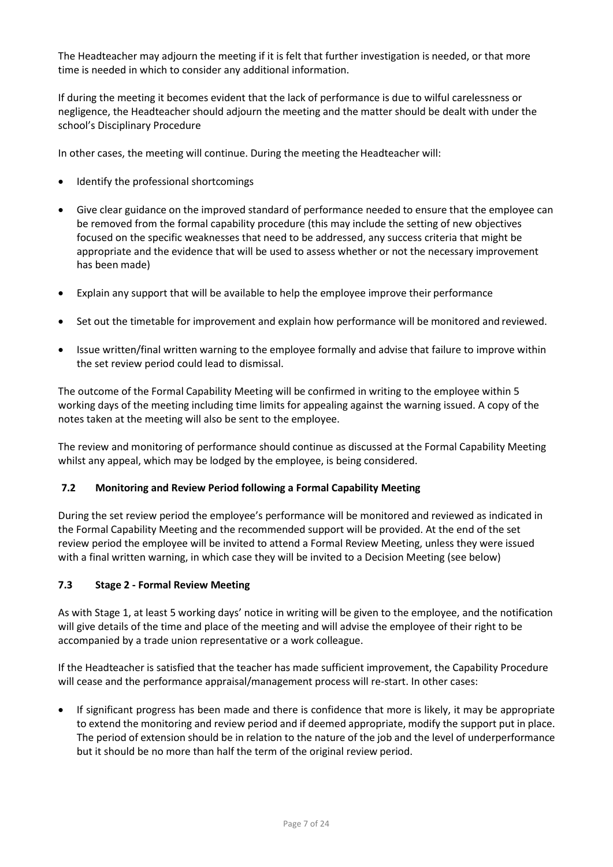The Headteacher may adjourn the meeting if it is felt that further investigation is needed, or that more time is needed in which to consider any additional information.

If during the meeting it becomes evident that the lack of performance is due to wilful carelessness or negligence, the Headteacher should adjourn the meeting and the matter should be dealt with under the school's Disciplinary Procedure

In other cases, the meeting will continue. During the meeting the Headteacher will:

- Identify the professional shortcomings
- Give clear guidance on the improved standard of performance needed to ensure that the employee can be removed from the formal capability procedure (this may include the setting of new objectives focused on the specific weaknesses that need to be addressed, any success criteria that might be appropriate and the evidence that will be used to assess whether or not the necessary improvement has been made)
- Explain any support that will be available to help the employee improve their performance
- Set out the timetable for improvement and explain how performance will be monitored and reviewed.
- Issue written/final written warning to the employee formally and advise that failure to improve within the set review period could lead to dismissal.

The outcome of the Formal Capability Meeting will be confirmed in writing to the employee within 5 working days of the meeting including time limits for appealing against the warning issued. A copy of the notes taken at the meeting will also be sent to the employee.

The review and monitoring of performance should continue as discussed at the Formal Capability Meeting whilst any appeal, which may be lodged by the employee, is being considered.

## **7.2 Monitoring and Review Period following a Formal Capability Meeting**

During the set review period the employee's performance will be monitored and reviewed as indicated in the Formal Capability Meeting and the recommended support will be provided. At the end of the set review period the employee will be invited to attend a Formal Review Meeting, unless they were issued with a final written warning, in which case they will be invited to a Decision Meeting (see below)

## **7.3 Stage 2 - Formal Review Meeting**

As with Stage 1, at least 5 working days' notice in writing will be given to the employee, and the notification will give details of the time and place of the meeting and will advise the employee of their right to be accompanied by a trade union representative or a work colleague.

If the Headteacher is satisfied that the teacher has made sufficient improvement, the Capability Procedure will cease and the performance appraisal/management process will re-start. In other cases:

• If significant progress has been made and there is confidence that more is likely, it may be appropriate to extend the monitoring and review period and if deemed appropriate, modify the support put in place. The period of extension should be in relation to the nature of the job and the level of underperformance but it should be no more than half the term of the original review period.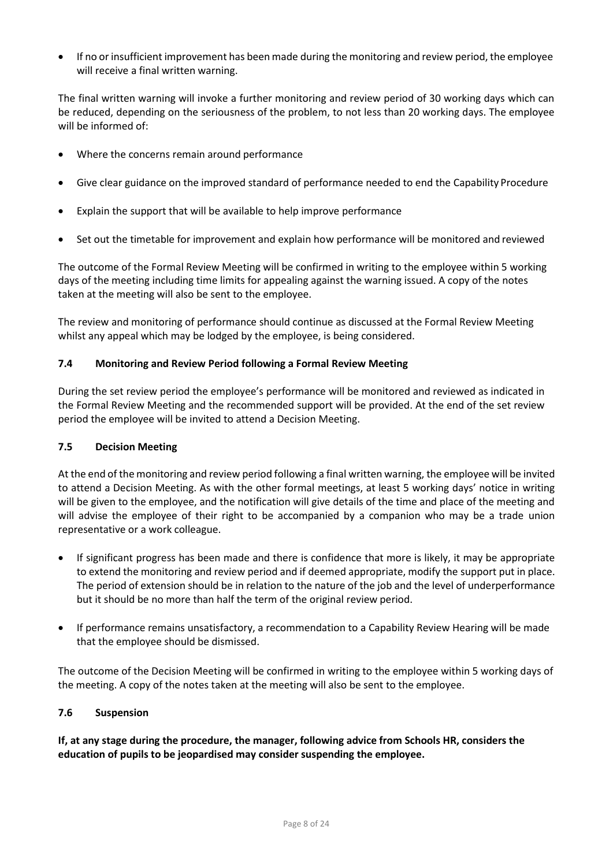If no or insufficient improvement has been made during the monitoring and review period, the employee will receive a final written warning.

The final written warning will invoke a further monitoring and review period of 30 working days which can be reduced, depending on the seriousness of the problem, to not less than 20 working days. The employee will be informed of:

- Where the concerns remain around performance
- Give clear guidance on the improved standard of performance needed to end the Capability Procedure
- Explain the support that will be available to help improve performance
- Set out the timetable for improvement and explain how performance will be monitored and reviewed

The outcome of the Formal Review Meeting will be confirmed in writing to the employee within 5 working days of the meeting including time limits for appealing against the warning issued. A copy of the notes taken at the meeting will also be sent to the employee.

The review and monitoring of performance should continue as discussed at the Formal Review Meeting whilst any appeal which may be lodged by the employee, is being considered.

## **7.4 Monitoring and Review Period following a Formal Review Meeting**

During the set review period the employee's performance will be monitored and reviewed as indicated in the Formal Review Meeting and the recommended support will be provided. At the end of the set review period the employee will be invited to attend a Decision Meeting.

## **7.5 Decision Meeting**

At the end of the monitoring and review period following a final written warning, the employee will be invited to attend a Decision Meeting. As with the other formal meetings, at least 5 working days' notice in writing will be given to the employee, and the notification will give details of the time and place of the meeting and will advise the employee of their right to be accompanied by a companion who may be a trade union representative or a work colleague.

- If significant progress has been made and there is confidence that more is likely, it may be appropriate to extend the monitoring and review period and if deemed appropriate, modify the support put in place. The period of extension should be in relation to the nature of the job and the level of underperformance but it should be no more than half the term of the original review period.
- If performance remains unsatisfactory, a recommendation to a Capability Review Hearing will be made that the employee should be dismissed.

The outcome of the Decision Meeting will be confirmed in writing to the employee within 5 working days of the meeting. A copy of the notes taken at the meeting will also be sent to the employee.

## **7.6 Suspension**

**If, at any stage during the procedure, the manager, following advice from Schools HR, considers the education of pupils to be jeopardised may consider suspending the employee.**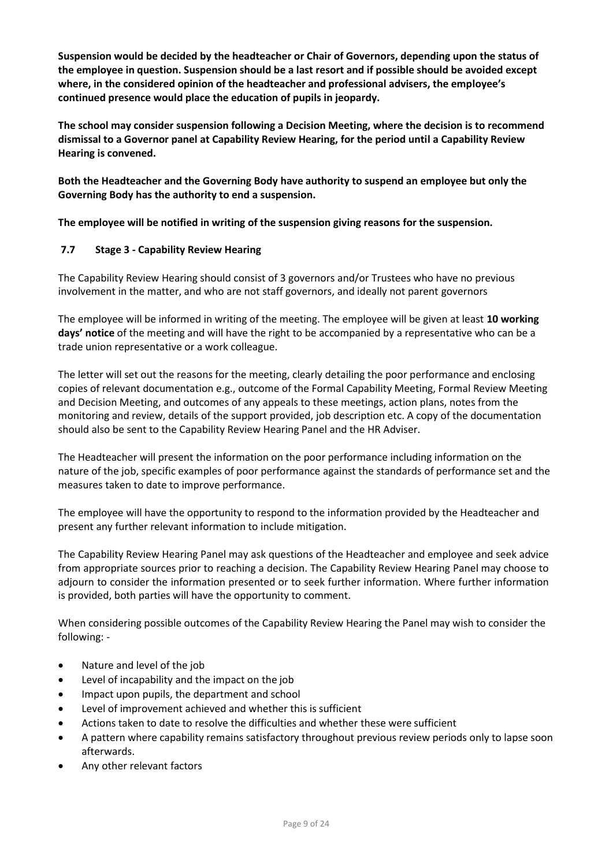**Suspension would be decided by the headteacher or Chair of Governors, depending upon the status of the employee in question. Suspension should be a last resort and if possible should be avoided except where, in the considered opinion of the headteacher and professional advisers, the employee's continued presence would place the education of pupils in jeopardy.**

**The school may consider suspension following a Decision Meeting, where the decision is to recommend dismissal to a Governor panel at Capability Review Hearing, for the period until a Capability Review Hearing is convened.**

**Both the Headteacher and the Governing Body have authority to suspend an employee but only the Governing Body has the authority to end a suspension.**

**The employee will be notified in writing of the suspension giving reasons for the suspension.**

# **7.7 Stage 3 - Capability Review Hearing**

The Capability Review Hearing should consist of 3 governors and/or Trustees who have no previous involvement in the matter, and who are not staff governors, and ideally not parent governors

The employee will be informed in writing of the meeting. The employee will be given at least **10 working days' notice** of the meeting and will have the right to be accompanied by a representative who can be a trade union representative or a work colleague.

The letter will set out the reasons for the meeting, clearly detailing the poor performance and enclosing copies of relevant documentation e.g., outcome of the Formal Capability Meeting, Formal Review Meeting and Decision Meeting, and outcomes of any appeals to these meetings, action plans, notes from the monitoring and review, details of the support provided, job description etc. A copy of the documentation should also be sent to the Capability Review Hearing Panel and the HR Adviser.

The Headteacher will present the information on the poor performance including information on the nature of the job, specific examples of poor performance against the standards of performance set and the measures taken to date to improve performance.

The employee will have the opportunity to respond to the information provided by the Headteacher and present any further relevant information to include mitigation.

The Capability Review Hearing Panel may ask questions of the Headteacher and employee and seek advice from appropriate sources prior to reaching a decision. The Capability Review Hearing Panel may choose to adjourn to consider the information presented or to seek further information. Where further information is provided, both parties will have the opportunity to comment.

When considering possible outcomes of the Capability Review Hearing the Panel may wish to consider the following: -

- Nature and level of the job
- Level of incapability and the impact on the job
- Impact upon pupils, the department and school
- Level of improvement achieved and whether this is sufficient
- Actions taken to date to resolve the difficulties and whether these were sufficient
- A pattern where capability remains satisfactory throughout previous review periods only to lapse soon afterwards.
- Any other relevant factors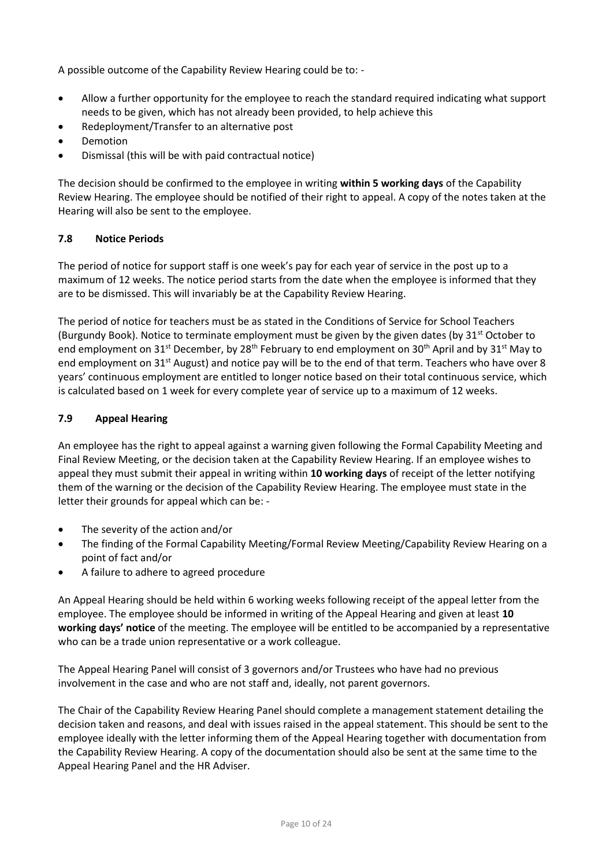A possible outcome of the Capability Review Hearing could be to: -

- Allow a further opportunity for the employee to reach the standard required indicating what support needs to be given, which has not already been provided, to help achieve this
- Redeployment/Transfer to an alternative post
- **Demotion**
- Dismissal (this will be with paid contractual notice)

The decision should be confirmed to the employee in writing **within 5 working days** of the Capability Review Hearing. The employee should be notified of their right to appeal. A copy of the notes taken at the Hearing will also be sent to the employee.

# **7.8 Notice Periods**

The period of notice for support staff is one week's pay for each year of service in the post up to a maximum of 12 weeks. The notice period starts from the date when the employee is informed that they are to be dismissed. This will invariably be at the Capability Review Hearing.

The period of notice for teachers must be as stated in the Conditions of Service for School Teachers (Burgundy Book). Notice to terminate employment must be given by the given dates (by  $31<sup>st</sup>$  October to end employment on 31st December, by 28<sup>th</sup> February to end employment on 30<sup>th</sup> April and by 31st May to end employment on 31<sup>st</sup> August) and notice pay will be to the end of that term. Teachers who have over 8 years' continuous employment are entitled to longer notice based on their total continuous service, which is calculated based on 1 week for every complete year of service up to a maximum of 12 weeks.

# **7.9 Appeal Hearing**

An employee has the right to appeal against a warning given following the Formal Capability Meeting and Final Review Meeting, or the decision taken at the Capability Review Hearing. If an employee wishes to appeal they must submit their appeal in writing within **10 working days** of receipt of the letter notifying them of the warning or the decision of the Capability Review Hearing. The employee must state in the letter their grounds for appeal which can be: -

- The severity of the action and/or
- The finding of the Formal Capability Meeting/Formal Review Meeting/Capability Review Hearing on a point of fact and/or
- A failure to adhere to agreed procedure

An Appeal Hearing should be held within 6 working weeks following receipt of the appeal letter from the employee. The employee should be informed in writing of the Appeal Hearing and given at least **10 working days' notice** of the meeting. The employee will be entitled to be accompanied by a representative who can be a trade union representative or a work colleague.

The Appeal Hearing Panel will consist of 3 governors and/or Trustees who have had no previous involvement in the case and who are not staff and, ideally, not parent governors.

The Chair of the Capability Review Hearing Panel should complete a management statement detailing the decision taken and reasons, and deal with issues raised in the appeal statement. This should be sent to the employee ideally with the letter informing them of the Appeal Hearing together with documentation from the Capability Review Hearing. A copy of the documentation should also be sent at the same time to the Appeal Hearing Panel and the HR Adviser.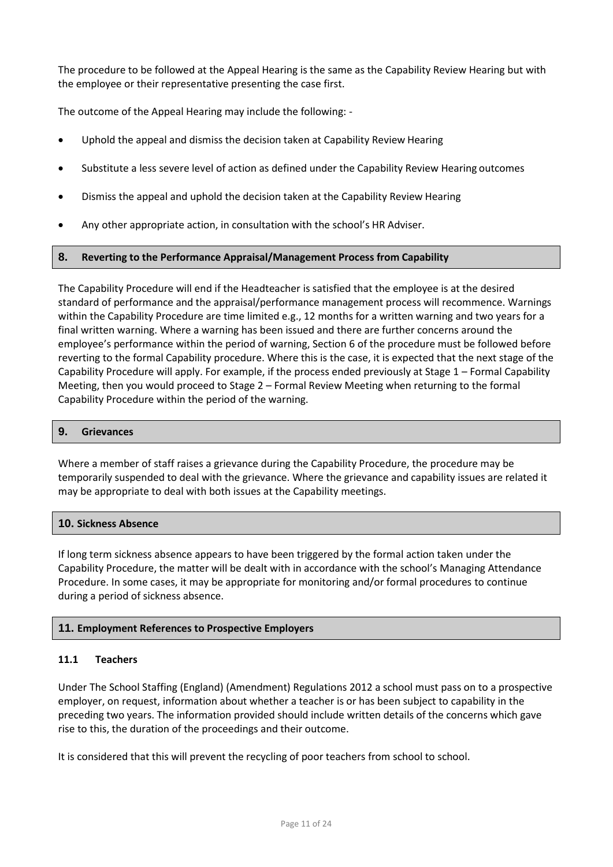The procedure to be followed at the Appeal Hearing is the same as the Capability Review Hearing but with the employee or their representative presenting the case first.

The outcome of the Appeal Hearing may include the following: -

- Uphold the appeal and dismiss the decision taken at Capability Review Hearing
- Substitute a less severe level of action as defined under the Capability Review Hearing outcomes
- Dismiss the appeal and uphold the decision taken at the Capability Review Hearing
- Any other appropriate action, in consultation with the school's HR Adviser.

## **8. Reverting to the Performance Appraisal/Management Process from Capability**

The Capability Procedure will end if the Headteacher is satisfied that the employee is at the desired standard of performance and the appraisal/performance management process will recommence. Warnings within the Capability Procedure are time limited e.g., 12 months for a written warning and two years for a final written warning. Where a warning has been issued and there are further concerns around the employee's performance within the period of warning, Section 6 of the procedure must be followed before reverting to the formal Capability procedure. Where this is the case, it is expected that the next stage of the Capability Procedure will apply. For example, if the process ended previously at Stage 1 – Formal Capability Meeting, then you would proceed to Stage 2 – Formal Review Meeting when returning to the formal Capability Procedure within the period of the warning.

## **9. Grievances**

Where a member of staff raises a grievance during the Capability Procedure, the procedure may be temporarily suspended to deal with the grievance. Where the grievance and capability issues are related it may be appropriate to deal with both issues at the Capability meetings.

#### **10. Sickness Absence**

If long term sickness absence appears to have been triggered by the formal action taken under the Capability Procedure, the matter will be dealt with in accordance with the school's Managing Attendance Procedure. In some cases, it may be appropriate for monitoring and/or formal procedures to continue during a period of sickness absence.

## **11. Employment References to Prospective Employers**

## **11.1 Teachers**

Under The School Staffing (England) (Amendment) Regulations 2012 a school must pass on to a prospective employer, on request, information about whether a teacher is or has been subject to capability in the preceding two years. The information provided should include written details of the concerns which gave rise to this, the duration of the proceedings and their outcome.

It is considered that this will prevent the recycling of poor teachers from school to school.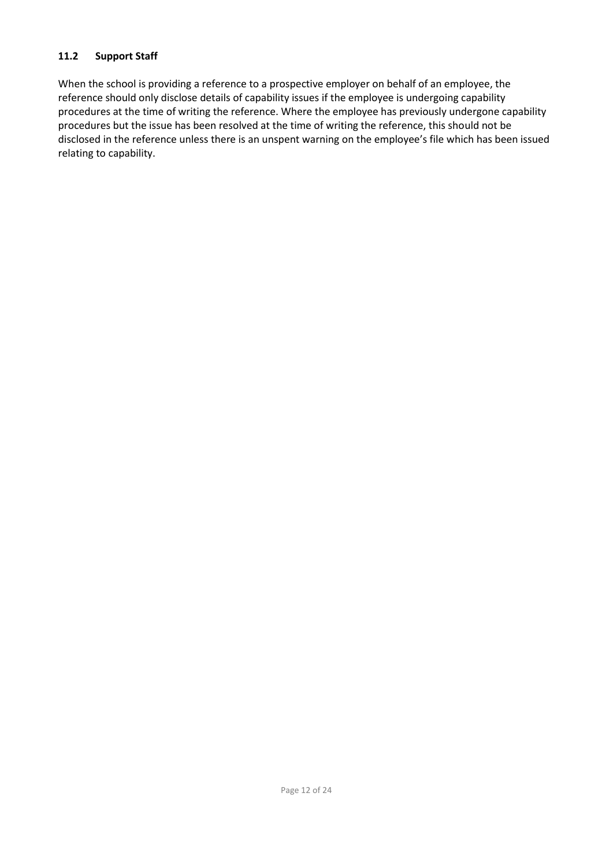# **11.2 Support Staff**

When the school is providing a reference to a prospective employer on behalf of an employee, the reference should only disclose details of capability issues if the employee is undergoing capability procedures at the time of writing the reference. Where the employee has previously undergone capability procedures but the issue has been resolved at the time of writing the reference, this should not be disclosed in the reference unless there is an unspent warning on the employee's file which has been issued relating to capability.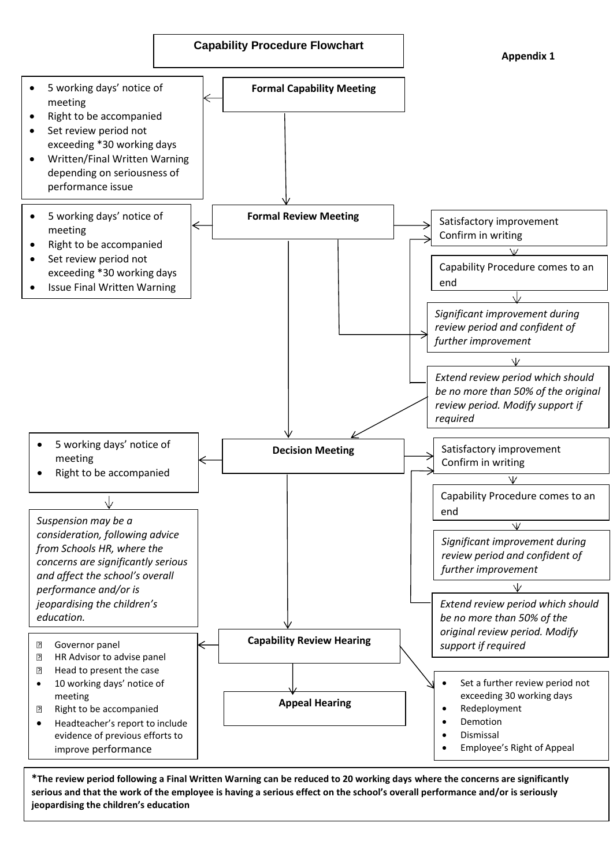

serious and that the work of the employee is having a serious effect on the school's overall performance and/or is seriously **\*The review period following a Final Written Warning can be reduced to 20 working days where the concerns are significantly jeopardising the children's education**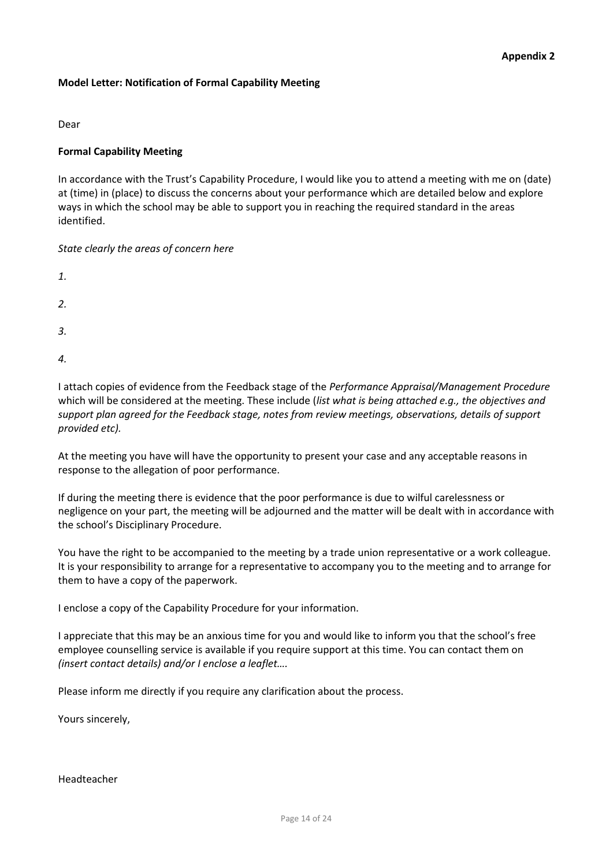## **Model Letter: Notification of Formal Capability Meeting**

Dear

# **Formal Capability Meeting**

In accordance with the Trust's Capability Procedure, I would like you to attend a meeting with me on (date) at (time) in (place) to discuss the concerns about your performance which are detailed below and explore ways in which the school may be able to support you in reaching the required standard in the areas identified.

*State clearly the areas of concern here* 

| 1. |  |  |  |
|----|--|--|--|
| 2. |  |  |  |
| 3. |  |  |  |
| 4. |  |  |  |

I attach copies of evidence from the Feedback stage of the *Performance Appraisal/Management Procedure*  which will be considered at the meeting. These include (*list what is being attached e.g., the objectives and support plan agreed for the Feedback stage, notes from review meetings, observations, details of support provided etc).*

At the meeting you have will have the opportunity to present your case and any acceptable reasons in response to the allegation of poor performance.

If during the meeting there is evidence that the poor performance is due to wilful carelessness or negligence on your part, the meeting will be adjourned and the matter will be dealt with in accordance with the school's Disciplinary Procedure.

You have the right to be accompanied to the meeting by a trade union representative or a work colleague. It is your responsibility to arrange for a representative to accompany you to the meeting and to arrange for them to have a copy of the paperwork.

I enclose a copy of the Capability Procedure for your information.

I appreciate that this may be an anxious time for you and would like to inform you that the school's free employee counselling service is available if you require support at this time. You can contact them on *(insert contact details) and/or I enclose a leaflet….*

Please inform me directly if you require any clarification about the process.

Yours sincerely,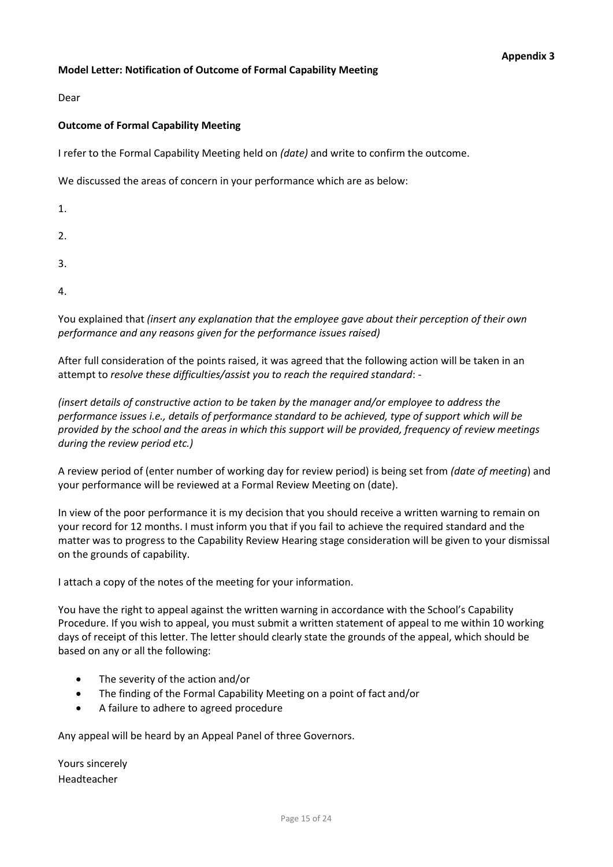# **Model Letter: Notification of Outcome of Formal Capability Meeting**

Dear

# **Outcome of Formal Capability Meeting**

I refer to the Formal Capability Meeting held on *(date)* and write to confirm the outcome.

We discussed the areas of concern in your performance which are as below:

1.

2.

- 3.
- 4.

You explained that *(insert any explanation that the employee gave about their perception of their own performance and any reasons given for the performance issues raised)*

After full consideration of the points raised, it was agreed that the following action will be taken in an attempt to *resolve these difficulties/assist you to reach the required standard*: -

*(insert details of constructive action to be taken by the manager and/or employee to address the performance issues i.e., details of performance standard to be achieved, type of support which will be provided by the school and the areas in which this support will be provided, frequency of review meetings during the review period etc.)*

A review period of (enter number of working day for review period) is being set from *(date of meeting*) and your performance will be reviewed at a Formal Review Meeting on (date).

In view of the poor performance it is my decision that you should receive a written warning to remain on your record for 12 months. I must inform you that if you fail to achieve the required standard and the matter was to progress to the Capability Review Hearing stage consideration will be given to your dismissal on the grounds of capability.

I attach a copy of the notes of the meeting for your information.

You have the right to appeal against the written warning in accordance with the School's Capability Procedure. If you wish to appeal, you must submit a written statement of appeal to me within 10 working days of receipt of this letter. The letter should clearly state the grounds of the appeal, which should be based on any or all the following:

- The severity of the action and/or
- The finding of the Formal Capability Meeting on a point of fact and/or
- A failure to adhere to agreed procedure

Any appeal will be heard by an Appeal Panel of three Governors.

Headteacher Yours sincerely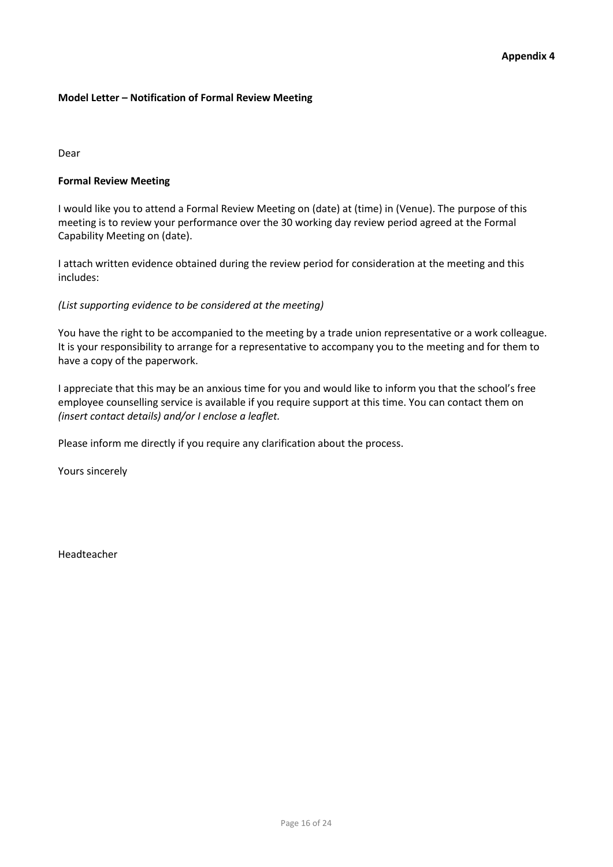# **Model Letter – Notification of Formal Review Meeting**

Dear

# **Formal Review Meeting**

I would like you to attend a Formal Review Meeting on (date) at (time) in (Venue). The purpose of this meeting is to review your performance over the 30 working day review period agreed at the Formal Capability Meeting on (date).

I attach written evidence obtained during the review period for consideration at the meeting and this includes:

# *(List supporting evidence to be considered at the meeting)*

You have the right to be accompanied to the meeting by a trade union representative or a work colleague. It is your responsibility to arrange for a representative to accompany you to the meeting and for them to have a copy of the paperwork.

I appreciate that this may be an anxious time for you and would like to inform you that the school's free employee counselling service is available if you require support at this time. You can contact them on *(insert contact details) and/or I enclose a leaflet.*

Please inform me directly if you require any clarification about the process.

Yours sincerely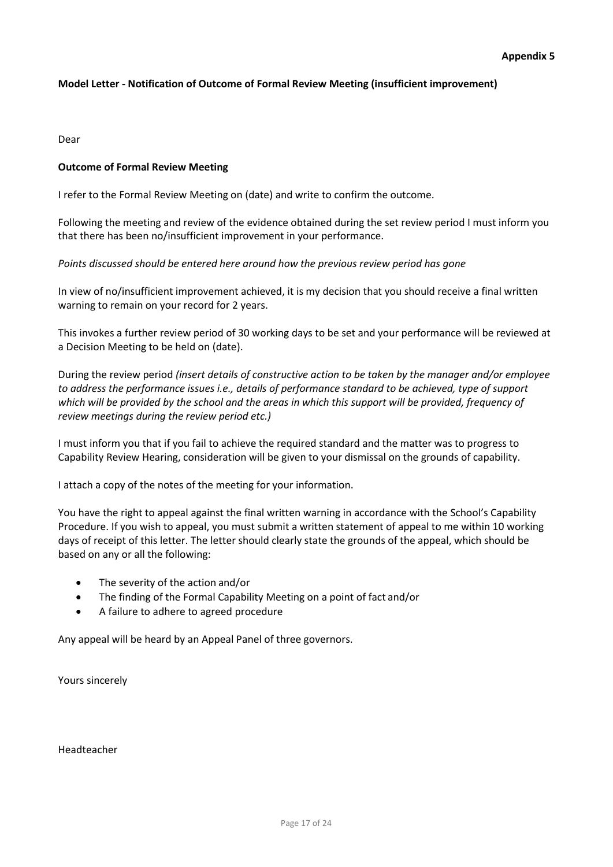# **Model Letter - Notification of Outcome of Formal Review Meeting (insufficient improvement)**

Dear

## **Outcome of Formal Review Meeting**

I refer to the Formal Review Meeting on (date) and write to confirm the outcome.

Following the meeting and review of the evidence obtained during the set review period I must inform you that there has been no/insufficient improvement in your performance.

# *Points discussed should be entered here around how the previous review period has gone*

In view of no/insufficient improvement achieved, it is my decision that you should receive a final written warning to remain on your record for 2 years.

This invokes a further review period of 30 working days to be set and your performance will be reviewed at a Decision Meeting to be held on (date).

During the review period *(insert details of constructive action to be taken by the manager and/or employee to address the performance issues i.e., details of performance standard to be achieved, type of support which will be provided by the school and the areas in which this support will be provided, frequency of review meetings during the review period etc.)*

I must inform you that if you fail to achieve the required standard and the matter was to progress to Capability Review Hearing, consideration will be given to your dismissal on the grounds of capability.

I attach a copy of the notes of the meeting for your information.

You have the right to appeal against the final written warning in accordance with the School's Capability Procedure. If you wish to appeal, you must submit a written statement of appeal to me within 10 working days of receipt of this letter. The letter should clearly state the grounds of the appeal, which should be based on any or all the following:

- The severity of the action and/or
- The finding of the Formal Capability Meeting on a point of fact and/or
- A failure to adhere to agreed procedure

Any appeal will be heard by an Appeal Panel of three governors.

Yours sincerely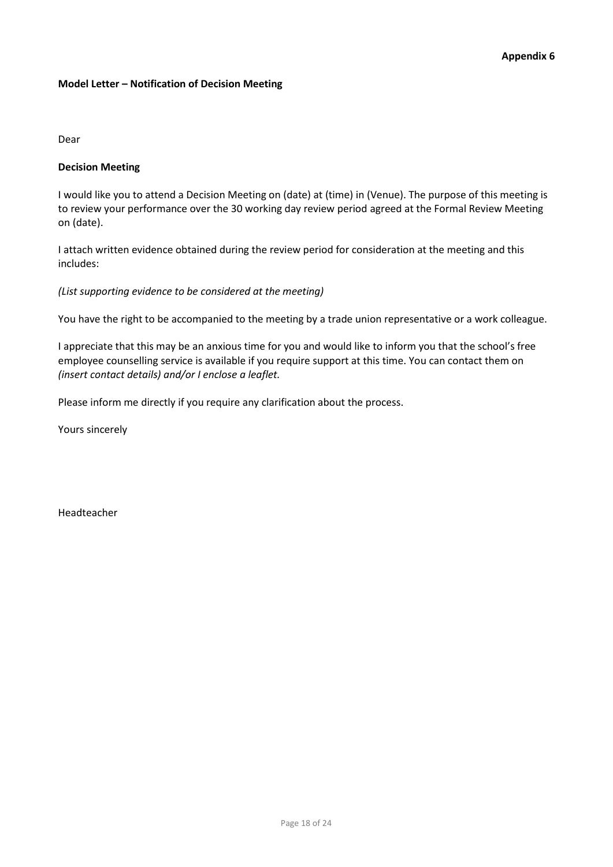# **Model Letter – Notification of Decision Meeting**

Dear

# **Decision Meeting**

I would like you to attend a Decision Meeting on (date) at (time) in (Venue). The purpose of this meeting is to review your performance over the 30 working day review period agreed at the Formal Review Meeting on (date).

I attach written evidence obtained during the review period for consideration at the meeting and this includes:

*(List supporting evidence to be considered at the meeting)*

You have the right to be accompanied to the meeting by a trade union representative or a work colleague.

I appreciate that this may be an anxious time for you and would like to inform you that the school's free employee counselling service is available if you require support at this time. You can contact them on *(insert contact details) and/or I enclose a leaflet.*

Please inform me directly if you require any clarification about the process.

Yours sincerely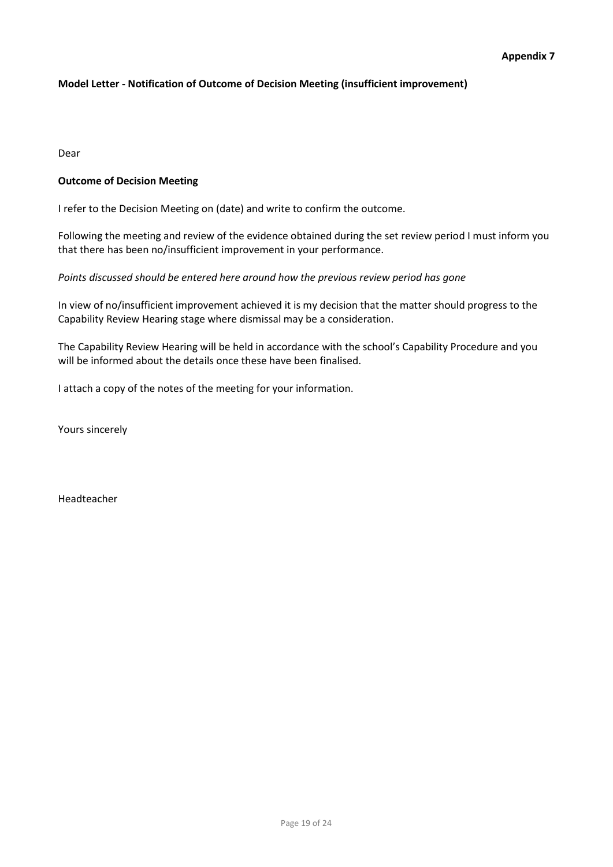# **Model Letter - Notification of Outcome of Decision Meeting (insufficient improvement)**

Dear

# **Outcome of Decision Meeting**

I refer to the Decision Meeting on (date) and write to confirm the outcome.

Following the meeting and review of the evidence obtained during the set review period I must inform you that there has been no/insufficient improvement in your performance.

# *Points discussed should be entered here around how the previous review period has gone*

In view of no/insufficient improvement achieved it is my decision that the matter should progress to the Capability Review Hearing stage where dismissal may be a consideration.

The Capability Review Hearing will be held in accordance with the school's Capability Procedure and you will be informed about the details once these have been finalised.

I attach a copy of the notes of the meeting for your information.

Yours sincerely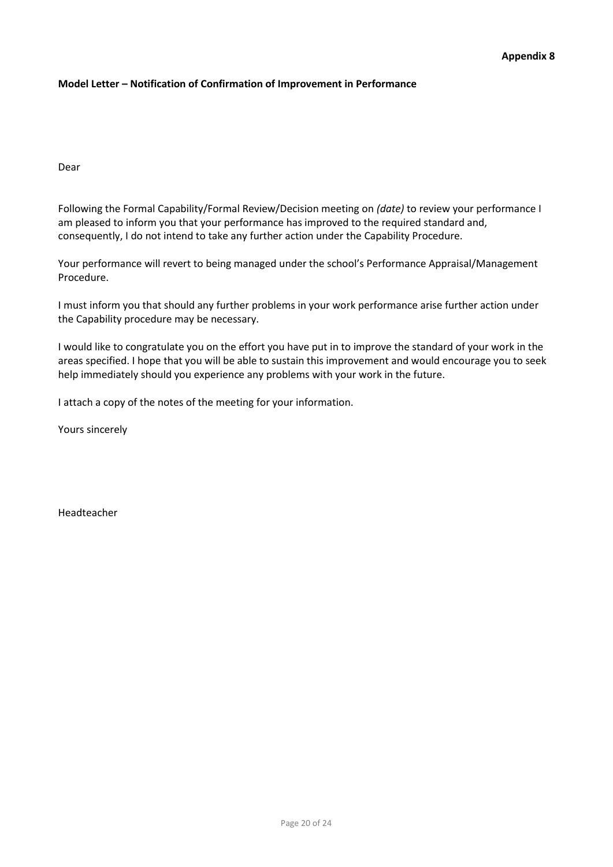# **Model Letter – Notification of Confirmation of Improvement in Performance**

Dear

Following the Formal Capability/Formal Review/Decision meeting on *(date)* to review your performance I am pleased to inform you that your performance has improved to the required standard and, consequently, I do not intend to take any further action under the Capability Procedure.

Your performance will revert to being managed under the school's Performance Appraisal/Management Procedure.

I must inform you that should any further problems in your work performance arise further action under the Capability procedure may be necessary.

I would like to congratulate you on the effort you have put in to improve the standard of your work in the areas specified. I hope that you will be able to sustain this improvement and would encourage you to seek help immediately should you experience any problems with your work in the future.

I attach a copy of the notes of the meeting for your information.

Yours sincerely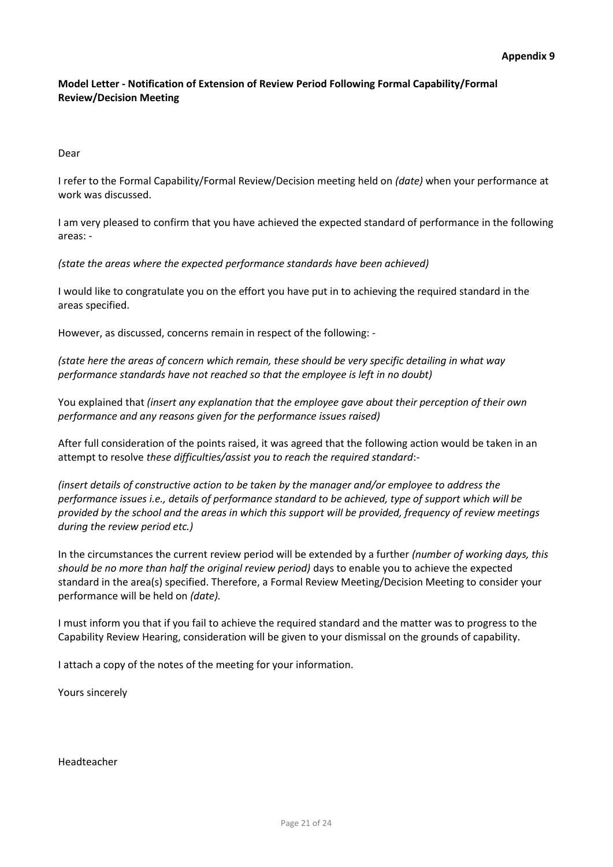# **Model Letter - Notification of Extension of Review Period Following Formal Capability/Formal Review/Decision Meeting**

Dear

I refer to the Formal Capability/Formal Review/Decision meeting held on *(date)* when your performance at work was discussed.

I am very pleased to confirm that you have achieved the expected standard of performance in the following areas: -

*(state the areas where the expected performance standards have been achieved)*

I would like to congratulate you on the effort you have put in to achieving the required standard in the areas specified.

However, as discussed, concerns remain in respect of the following: -

*(state here the areas of concern which remain, these should be very specific detailing in what way performance standards have not reached so that the employee is left in no doubt)*

You explained that *(insert any explanation that the employee gave about their perception of their own performance and any reasons given for the performance issues raised)*

After full consideration of the points raised, it was agreed that the following action would be taken in an attempt to resolve *these difficulties/assist you to reach the required standard*:-

*(insert details of constructive action to be taken by the manager and/or employee to address the performance issues i.e., details of performance standard to be achieved, type of support which will be provided by the school and the areas in which this support will be provided, frequency of review meetings during the review period etc.)*

In the circumstances the current review period will be extended by a further *(number of working days, this should be no more than half the original review period)* days to enable you to achieve the expected standard in the area(s) specified. Therefore, a Formal Review Meeting/Decision Meeting to consider your performance will be held on *(date).*

I must inform you that if you fail to achieve the required standard and the matter was to progress to the Capability Review Hearing, consideration will be given to your dismissal on the grounds of capability.

I attach a copy of the notes of the meeting for your information.

Yours sincerely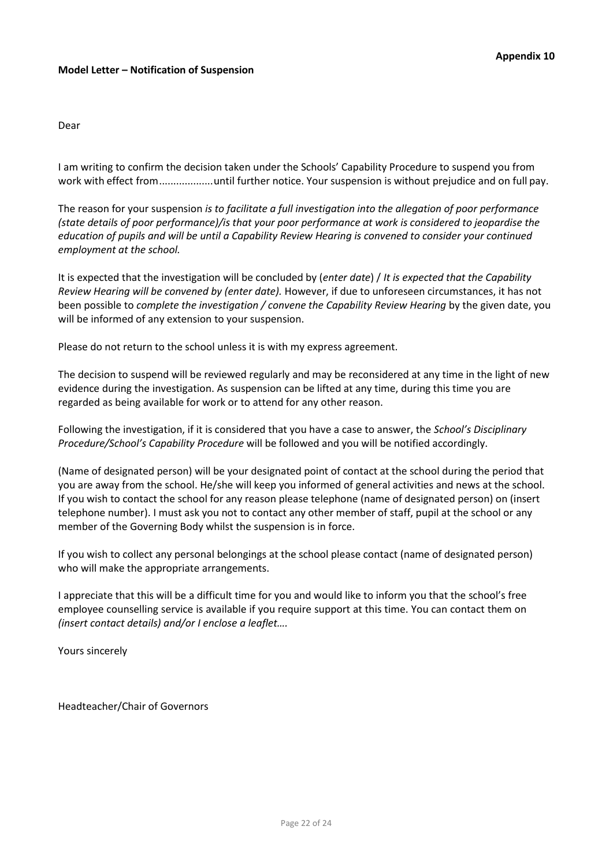#### Dear

I am writing to confirm the decision taken under the Schools' Capability Procedure to suspend you from work with effect from...................until further notice. Your suspension is without prejudice and on full pay.

The reason for your suspension *is to facilitate a full investigation into the allegation of poor performance (state details of poor performance)/is that your poor performance at work is considered to jeopardise the education of pupils and will be until a Capability Review Hearing is convened to consider your continued employment at the school.*

It is expected that the investigation will be concluded by (*enter date*) / *It is expected that the Capability Review Hearing will be convened by (enter date).* However, if due to unforeseen circumstances, it has not been possible to *complete the investigation / convene the Capability Review Hearing* by the given date, you will be informed of any extension to your suspension.

Please do not return to the school unless it is with my express agreement.

The decision to suspend will be reviewed regularly and may be reconsidered at any time in the light of new evidence during the investigation. As suspension can be lifted at any time, during this time you are regarded as being available for work or to attend for any other reason.

Following the investigation, if it is considered that you have a case to answer, the *School's Disciplinary Procedure/School's Capability Procedure* will be followed and you will be notified accordingly.

(Name of designated person) will be your designated point of contact at the school during the period that you are away from the school. He/she will keep you informed of general activities and news at the school. If you wish to contact the school for any reason please telephone (name of designated person) on (insert telephone number). I must ask you not to contact any other member of staff, pupil at the school or any member of the Governing Body whilst the suspension is in force.

If you wish to collect any personal belongings at the school please contact (name of designated person) who will make the appropriate arrangements.

I appreciate that this will be a difficult time for you and would like to inform you that the school's free employee counselling service is available if you require support at this time. You can contact them on *(insert contact details) and/or I enclose a leaflet….*

Yours sincerely

Headteacher/Chair of Governors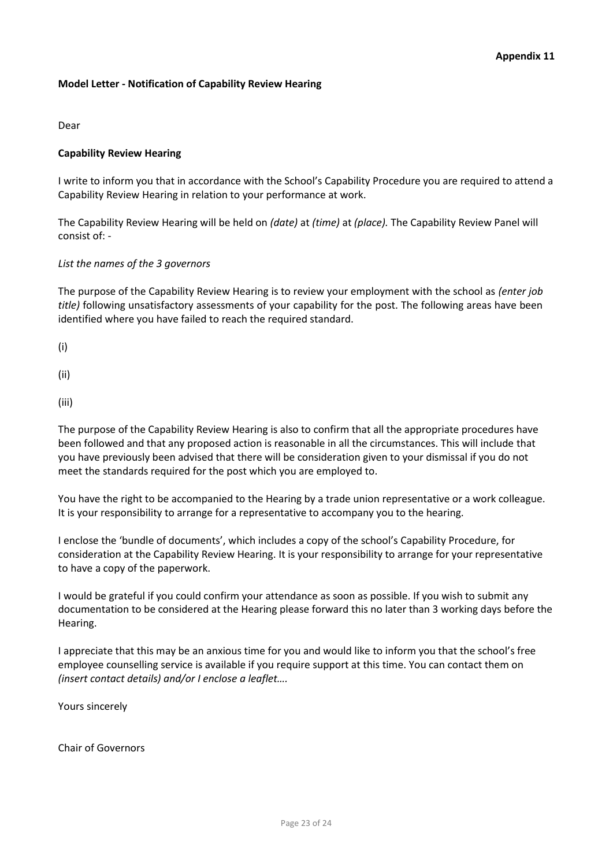# **Model Letter - Notification of Capability Review Hearing**

Dear

# **Capability Review Hearing**

I write to inform you that in accordance with the School's Capability Procedure you are required to attend a Capability Review Hearing in relation to your performance at work.

The Capability Review Hearing will be held on *(date)* at *(time)* at *(place).* The Capability Review Panel will consist of: -

# *List the names of the 3 governors*

The purpose of the Capability Review Hearing is to review your employment with the school as *(enter job title)* following unsatisfactory assessments of your capability for the post. The following areas have been identified where you have failed to reach the required standard.

(i)

(ii)

(iii)

The purpose of the Capability Review Hearing is also to confirm that all the appropriate procedures have been followed and that any proposed action is reasonable in all the circumstances. This will include that you have previously been advised that there will be consideration given to your dismissal if you do not meet the standards required for the post which you are employed to.

You have the right to be accompanied to the Hearing by a trade union representative or a work colleague. It is your responsibility to arrange for a representative to accompany you to the hearing.

I enclose the 'bundle of documents', which includes a copy of the school's Capability Procedure, for consideration at the Capability Review Hearing. It is your responsibility to arrange for your representative to have a copy of the paperwork.

I would be grateful if you could confirm your attendance as soon as possible. If you wish to submit any documentation to be considered at the Hearing please forward this no later than 3 working days before the Hearing.

I appreciate that this may be an anxious time for you and would like to inform you that the school's free employee counselling service is available if you require support at this time. You can contact them on *(insert contact details) and/or I enclose a leaflet….*

Yours sincerely

Chair of Governors